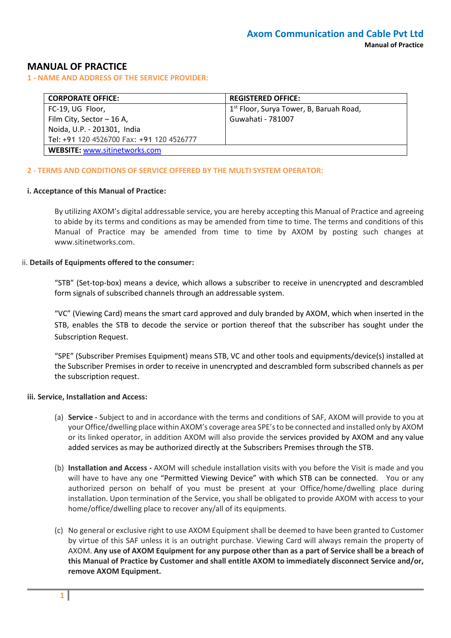## **MANUAL OF PRACTICE**

**1 - NAME AND ADDRESS OF THE SERVICE PROVIDER:**

| <b>CORPORATE OFFICE:</b>                  | <b>REGISTERED OFFICE:</b>                           |
|-------------------------------------------|-----------------------------------------------------|
| FC-19, UG Floor,                          | 1 <sup>st</sup> Floor, Surya Tower, B, Baruah Road, |
| Film City, Sector - 16 A,                 | Guwahati - 781007                                   |
| Noida, U.P. - 201301, India               |                                                     |
| Tel: +91 120 4526700 Fax: +91 120 4526777 |                                                     |
| <b>WEBSITE: www.sitinetworks.com</b>      |                                                     |

### **2 - TERMS AND CONDITIONS OF SERVICE OFFERED BY THE MULTI SYSTEM OPERATOR:**

#### **i. Acceptance of this Manual of Practice:**

By utilizing AXOM's digital addressable service, you are hereby accepting this Manual of Practice and agreeing to abide by its terms and conditions as may be amended from time to time. The terms and conditions of this Manual of Practice may be amended from time to time by AXOM by posting such changes at www.sitinetworks.com.

#### ii. **Details of Equipments offered to the consumer:**

"STB" (Set-top-box) means a device, which allows a subscriber to receive in unencrypted and descrambled form signals of subscribed channels through an addressable system.

"VC" (Viewing Card) means the smart card approved and duly branded by AXOM, which when inserted in the STB, enables the STB to decode the service or portion thereof that the subscriber has sought under the Subscription Request.

"SPE" (Subscriber Premises Equipment) means STB, VC and other tools and equipments/device(s) installed at the Subscriber Premises in order to receive in unencrypted and descrambled form subscribed channels as per the subscription request.

#### **iii. Service, Installation and Access:**

- (a) **Service -** Subject to and in accordance with the terms and conditions of SAF, AXOM will provide to you at your Office/dwelling place within AXOM's coverage area SPE's to be connected and installed only by AXOM or its linked operator, in addition AXOM will also provide the services provided by AXOM and any value added services as may be authorized directly at the Subscribers Premises through the STB.
- (b) **Installation and Access -** AXOM will schedule installation visits with you before the Visit is made and you will have to have any one "Permitted Viewing Device" with which STB can be connected. You or any authorized person on behalf of you must be present at your Office/home/dwelling place during installation. Upon termination of the Service, you shall be obligated to provide AXOM with access to your home/office/dwelling place to recover any/all of its equipments.
- (c) No general or exclusive right to use AXOM Equipment shall be deemed to have been granted to Customer by virtue of this SAF unless it is an outright purchase. Viewing Card will always remain the property of AXOM. **Any use of AXOM Equipment for any purpose other than as a part of Service shall be a breach of this Manual of Practice by Customer and shall entitle AXOM to immediately disconnect Service and/or, remove AXOM Equipment.**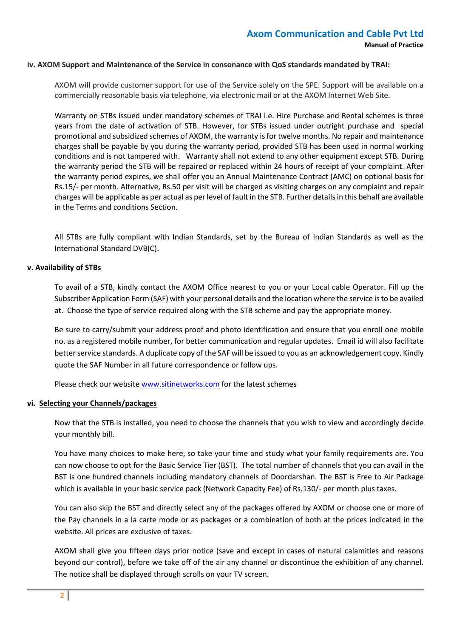#### **iv. AXOM Support and Maintenance of the Service in consonance with QoS standards mandated by TRAI:**

AXOM will provide customer support for use of the Service solely on the SPE. Support will be available on a commercially reasonable basis via telephone, via electronic mail or at the AXOM Internet Web Site.

Warranty on STBs issued under mandatory schemes of TRAI i.e. Hire Purchase and Rental schemes is three years from the date of activation of STB. However, for STBs issued under outright purchase and special promotional and subsidized schemes of AXOM, the warranty is for twelve months. No repair and maintenance charges shall be payable by you during the warranty period, provided STB has been used in normal working conditions and is not tampered with. Warranty shall not extend to any other equipment except STB. During the warranty period the STB will be repaired or replaced within 24 hours of receipt of your complaint. After the warranty period expires, we shall offer you an Annual Maintenance Contract (AMC) on optional basis for Rs.15/- per month. Alternative, Rs.50 per visit will be charged as visiting charges on any complaint and repair charges will be applicable as per actual as per level of fault in the STB. Further details in this behalf are available in the Terms and conditions Section.

All STBs are fully compliant with Indian Standards, set by the Bureau of Indian Standards as well as the International Standard DVB(C).

#### **v. Availability of STBs**

To avail of a STB, kindly contact the AXOM Office nearest to you or your Local cable Operator. Fill up the Subscriber Application Form (SAF) with your personal details and the location where the service is to be availed at. Choose the type of service required along with the STB scheme and pay the appropriate money.

Be sure to carry/submit your address proof and photo identification and ensure that you enroll one mobile no. as a registered mobile number, for better communication and regular updates. Email id will also facilitate better service standards. A duplicate copy of the SAF will be issued to you as an acknowledgement copy. Kindly quote the SAF Number in all future correspondence or follow ups.

Please check our websit[e www.sitinetworks.com](http://www.siticable.com/) for the latest schemes

## **vi. Selecting your Channels/packages**

Now that the STB is installed, you need to choose the channels that you wish to view and accordingly decide your monthly bill.

You have many choices to make here, so take your time and study what your family requirements are. You can now choose to opt for the Basic Service Tier (BST). The total number of channels that you can avail in the BST is one hundred channels including mandatory channels of Doordarshan. The BST is Free to Air Package which is available in your basic service pack (Network Capacity Fee) of Rs.130/- per month plus taxes.

You can also skip the BST and directly select any of the packages offered by AXOM or choose one or more of the Pay channels in a la carte mode or as packages or a combination of both at the prices indicated in the website. All prices are exclusive of taxes.

AXOM shall give you fifteen days prior notice (save and except in cases of natural calamities and reasons beyond our control), before we take off of the air any channel or discontinue the exhibition of any channel. The notice shall be displayed through scrolls on your TV screen.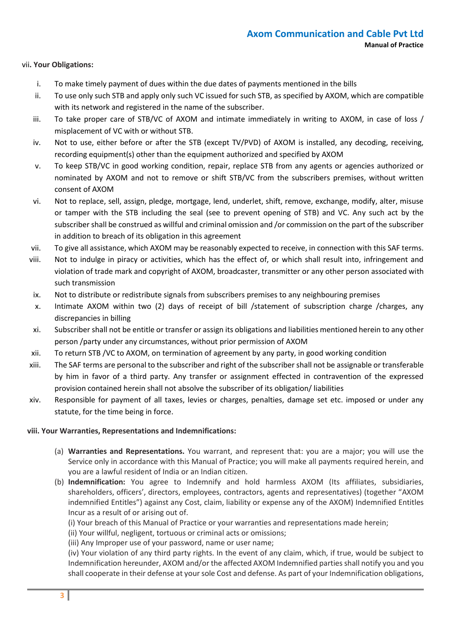## vii**. Your Obligations:**

- i. To make timely payment of dues within the due dates of payments mentioned in the bills
- ii. To use only such STB and apply only such VC issued for such STB, as specified by AXOM, which are compatible with its network and registered in the name of the subscriber.
- iii. To take proper care of STB/VC of AXOM and intimate immediately in writing to AXOM, in case of loss / misplacement of VC with or without STB.
- iv. Not to use, either before or after the STB (except TV/PVD) of AXOM is installed, any decoding, receiving, recording equipment(s) other than the equipment authorized and specified by AXOM
- v. To keep STB/VC in good working condition, repair, replace STB from any agents or agencies authorized or nominated by AXOM and not to remove or shift STB/VC from the subscribers premises, without written consent of AXOM
- vi. Not to replace, sell, assign, pledge, mortgage, lend, underlet, shift, remove, exchange, modify, alter, misuse or tamper with the STB including the seal (see to prevent opening of STB) and VC. Any such act by the subscriber shall be construed as willful and criminal omission and /or commission on the part of the subscriber in addition to breach of its obligation in this agreement
- vii. To give all assistance, which AXOM may be reasonably expected to receive, in connection with this SAF terms.
- viii. Not to indulge in piracy or activities, which has the effect of, or which shall result into, infringement and violation of trade mark and copyright of AXOM, broadcaster, transmitter or any other person associated with such transmission
- ix. Not to distribute or redistribute signals from subscribers premises to any neighbouring premises
- x. Intimate AXOM within two (2) days of receipt of bill /statement of subscription charge /charges, any discrepancies in billing
- xi. Subscriber shall not be entitle or transfer or assign its obligations and liabilities mentioned herein to any other person /party under any circumstances, without prior permission of AXOM
- xii. To return STB /VC to AXOM, on termination of agreement by any party, in good working condition
- xiii. The SAF terms are personal to the subscriber and right of the subscriber shall not be assignable or transferable by him in favor of a third party. Any transfer or assignment effected in contravention of the expressed provision contained herein shall not absolve the subscriber of its obligation/ liabilities
- xiv. Responsible for payment of all taxes, levies or charges, penalties, damage set etc. imposed or under any statute, for the time being in force.

## **viii. Your Warranties, Representations and Indemnifications:**

- (a) **Warranties and Representations.** You warrant, and represent that: you are a major; you will use the Service only in accordance with this Manual of Practice; you will make all payments required herein, and you are a lawful resident of India or an Indian citizen.
- (b) **Indemnification:** You agree to Indemnify and hold harmless AXOM (Its affiliates, subsidiaries, shareholders, officers', directors, employees, contractors, agents and representatives) (together "AXOM indemnified Entitles") against any Cost, claim, liability or expense any of the AXOM) Indemnified Entitles Incur as a result of or arising out of.
	- (i) Your breach of this Manual of Practice or your warranties and representations made herein;
	- (ii) Your willful, negligent, tortuous or criminal acts or omissions;
	- (iii) Any Improper use of your password, name or user name;

(iv) Your violation of any third party rights. In the event of any claim, which, if true, would be subject to Indemnification hereunder, AXOM and/or the affected AXOM Indemnified parties shall notify you and you shall cooperate in their defense at your sole Cost and defense. As part of your Indemnification obligations,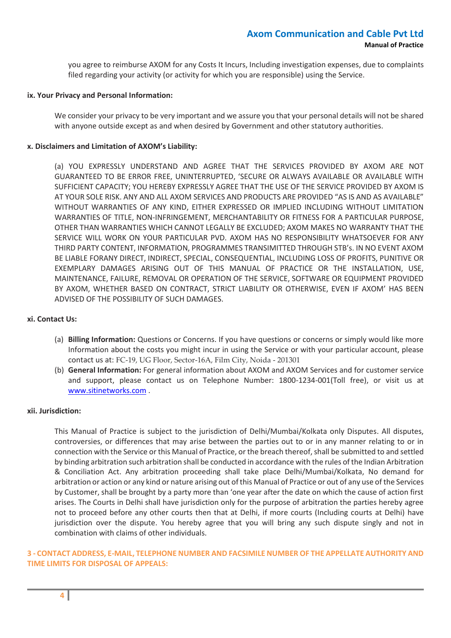you agree to reimburse AXOM for any Costs It Incurs, Including investigation expenses, due to complaints filed regarding your activity (or activity for which you are responsible) using the Service.

#### **ix. Your Privacy and Personal Information:**

We consider your privacy to be very important and we assure you that your personal details will not be shared with anyone outside except as and when desired by Government and other statutory authorities.

### **x. Disclaimers and Limitation of AXOM's Liability:**

(a) YOU EXPRESSLY UNDERSTAND AND AGREE THAT THE SERVICES PROVIDED BY AXOM ARE NOT GUARANTEED TO BE ERROR FREE, UNINTERRUPTED, 'SECURE OR ALWAYS AVAILABLE OR AVAILABLE WITH SUFFICIENT CAPACITY; YOU HEREBY EXPRESSLY AGREE THAT THE USE OF THE SERVICE PROVIDED BY AXOM IS AT YOUR SOLE RISK. ANY AND ALL AXOM SERVICES AND PRODUCTS ARE PROVIDED "AS IS AND AS AVAILABLE" WITHOUT WARRANTIES OF ANY KIND, EITHER EXPRESSED OR IMPLIED INCLUDING WITHOUT LIMITATION WARRANTIES OF TITLE, NON-INFRINGEMENT, MERCHANTABILITY OR FITNESS FOR A PARTICULAR PURPOSE, OTHER THAN WARRANTIES WHICH CANNOT LEGALLY BE EXCLUDED; AXOM MAKES NO WARRANTY THAT THE SERVICE WILL WORK ON YOUR PARTICULAR PVD. AXOM HAS NO RESPONSIBILITY WHATSOEVER FOR ANY THIRD PARTY CONTENT, INFORMATION, PROGRAMMES TRANSIMITTED THROUGH STB's. IN NO EVENT AXOM BE LIABLE FORANY DIRECT, INDIRECT, SPECIAL, CONSEQUENTIAL, INCLUDING LOSS OF PROFITS, PUNITIVE OR EXEMPLARY DAMAGES ARISING OUT OF THIS MANUAL OF PRACTICE OR THE INSTALLATION, USE, MAINTENANCE, FAILURE, REMOVAL OR OPERATION OF THE SERVICE, SOFTWARE OR EQUIPMENT PROVIDED BY AXOM, WHETHER BASED ON CONTRACT, STRICT LIABILITY OR OTHERWISE, EVEN IF AXOM' HAS BEEN ADVISED OF THE POSSIBILITY OF SUCH DAMAGES.

### **xi. Contact Us:**

- (a) **Billing Information:** Questions or Concerns. If you have questions or concerns or simply would like more Information about the costs you might incur in using the Service or with your particular account, please contact us at: FC-19, UG Floor, Sector-16A, Film City, Noida - 201301
- (b) **General Information:** For general information about AXOM and AXOM Services and for customer service and support, please contact us on Telephone Number: 1800-1234-001(Toll free), or visit us at [www.sitinetworks.com](http://www.siticable.com/) .

## **xii. Jurisdiction:**

This Manual of Practice is subject to the jurisdiction of Delhi/Mumbai/Kolkata only Disputes. All disputes, controversies, or differences that may arise between the parties out to or in any manner relating to or in connection with the Service or this Manual of Practice, or the breach thereof, shall be submitted to and settled by binding arbitration such arbitration shall be conducted in accordance with the rules of the Indian Arbitration & Conciliation Act. Any arbitration proceeding shall take place Delhi/Mumbai/Kolkata, No demand for arbitration or action or any kind or nature arising out of this Manual of Practice or out of any use of the Services by Customer, shall be brought by a party more than 'one year after the date on which the cause of action first arises. The Courts in Delhi shall have jurisdiction only for the purpose of arbitration the parties hereby agree not to proceed before any other courts then that at Delhi, if more courts (Including courts at Delhi) have jurisdiction over the dispute. You hereby agree that you will bring any such dispute singly and not in combination with claims of other individuals.

## **3 - CONTACT ADDRESS, E-MAIL, TELEPHONE NUMBER AND FACSIMILE NUMBER OF THE APPELLATE AUTHORITY AND TIME LIMITS FOR DISPOSAL OF APPEALS:**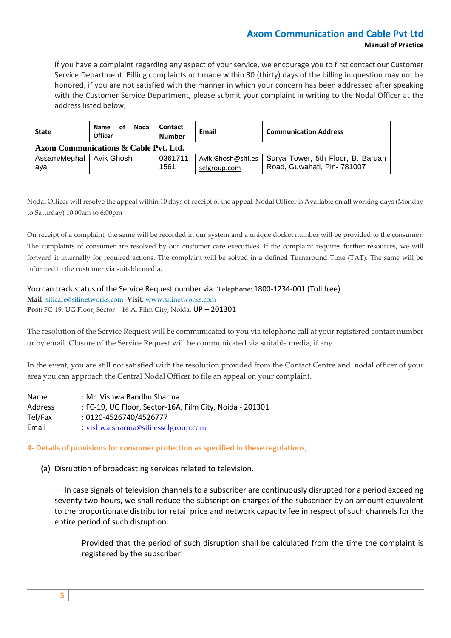# **Axom Communication and Cable Pvt Ltd Manual of Practice**

If you have a complaint regarding any aspect of your service, we encourage you to first contact our Customer Service Department. Billing complaints not made within 30 (thirty) days of the billing in question may not be honored, if you are not satisfied with the manner in which your concern has been addressed after speaking with the Customer Service Department, please submit your complaint in writing to the Nodal Officer at the address listed below;

| <b>State</b>                          | Nodal<br><b>Name</b><br>οf<br><b>Officer</b> | <b>Contact</b><br><b>Number</b> | Email                              | <b>Communication Address</b>                                     |  |
|---------------------------------------|----------------------------------------------|---------------------------------|------------------------------------|------------------------------------------------------------------|--|
| Axom Communications & Cable Pvt. Ltd. |                                              |                                 |                                    |                                                                  |  |
| Assam/Meghal   Avik Ghosh<br>aya      |                                              | 0361711<br>1561                 | Avik.Ghosh@siti.es<br>selgroup.com | Surya Tower, 5th Floor, B. Baruah<br>Road, Guwahati, Pin- 781007 |  |

Nodal Officer will resolve the appeal within 10 days of receipt of the appeal. Nodal Officer is Available on all working days (Monday to Saturday) 10:00am to 6:00pm

On receipt of a complaint, the same will be recorded in our system and a unique docket number will be provided to the consumer. The complaints of consumer are resolved by our customer care executives. If the complaint requires further resources, we will forward it internally for required actions. The complaint will be solved in a defined Turnaround Time (TAT). The same will be informed to the customer via suitable media.

You can track status of the Service Request number via: **Telephone:** 1800-1234-001 (Toll free) **Mail:** [siticare@sitinetworks.com](mailto:siticare@siticable.com) **Visit:** [www.sitinetworks.com](http://www.siticable.com/) **Post:** FC-19, UG Floor, Sector – 16 A, Film City, Noida, UP – 201301

The resolution of the Service Request will be communicated to you via telephone call at your registered contact number or by email. Closure of the Service Request will be communicated via suitable media, if any.

In the event, you are still not satisfied with the resolution provided from the Contact Centre and nodal officer of your area you can approach the Central Nodal Officer to file an appeal on your complaint.

| <b>Name</b>    | : Mr. Vishwa Bandhu Sharma                               |
|----------------|----------------------------------------------------------|
| <b>Address</b> | : FC-19, UG Floor, Sector-16A, Film City, Noida - 201301 |
| Tel/Fax        | : 0120-4526740/4526777                                   |
| Email          | : vishwa.sharma@siti.esselgroup.com                      |

## **4- Details of provisions for consumer protection as specified in these regulations;**

(a) Disruption of broadcasting services related to television.

— In case signals of television channels to a subscriber are continuously disrupted for a period exceeding seventy two hours, we shall reduce the subscription charges of the subscriber by an amount equivalent to the proportionate distributor retail price and network capacity fee in respect of such channels for the entire period of such disruption:

Provided that the period of such disruption shall be calculated from the time the complaint is registered by the subscriber: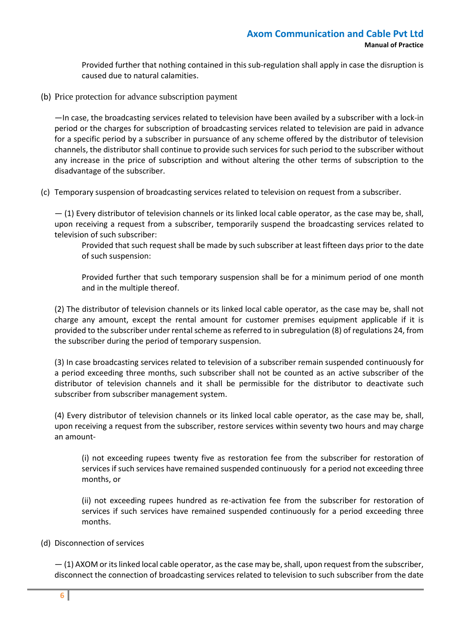Provided further that nothing contained in this sub-regulation shall apply in case the disruption is caused due to natural calamities.

(b) Price protection for advance subscription payment

—In case, the broadcasting services related to television have been availed by a subscriber with a lock-in period or the charges for subscription of broadcasting services related to television are paid in advance for a specific period by a subscriber in pursuance of any scheme offered by the distributor of television channels, the distributor shall continue to provide such services for such period to the subscriber without any increase in the price of subscription and without altering the other terms of subscription to the disadvantage of the subscriber.

(c) Temporary suspension of broadcasting services related to television on request from a subscriber.

— (1) Every distributor of television channels or its linked local cable operator, as the case may be, shall, upon receiving a request from a subscriber, temporarily suspend the broadcasting services related to television of such subscriber:

Provided that such request shall be made by such subscriber at least fifteen days prior to the date of such suspension:

Provided further that such temporary suspension shall be for a minimum period of one month and in the multiple thereof.

(2) The distributor of television channels or its linked local cable operator, as the case may be, shall not charge any amount, except the rental amount for customer premises equipment applicable if it is provided to the subscriber under rental scheme as referred to in subregulation (8) of regulations 24, from the subscriber during the period of temporary suspension.

(3) In case broadcasting services related to television of a subscriber remain suspended continuously for a period exceeding three months, such subscriber shall not be counted as an active subscriber of the distributor of television channels and it shall be permissible for the distributor to deactivate such subscriber from subscriber management system.

(4) Every distributor of television channels or its linked local cable operator, as the case may be, shall, upon receiving a request from the subscriber, restore services within seventy two hours and may charge an amount-

(i) not exceeding rupees twenty five as restoration fee from the subscriber for restoration of services if such services have remained suspended continuously for a period not exceeding three months, or

(ii) not exceeding rupees hundred as re-activation fee from the subscriber for restoration of services if such services have remained suspended continuously for a period exceeding three months.

## (d) Disconnection of services

— (1) AXOM or its linked local cable operator, as the case may be, shall, upon request from the subscriber, disconnect the connection of broadcasting services related to television to such subscriber from the date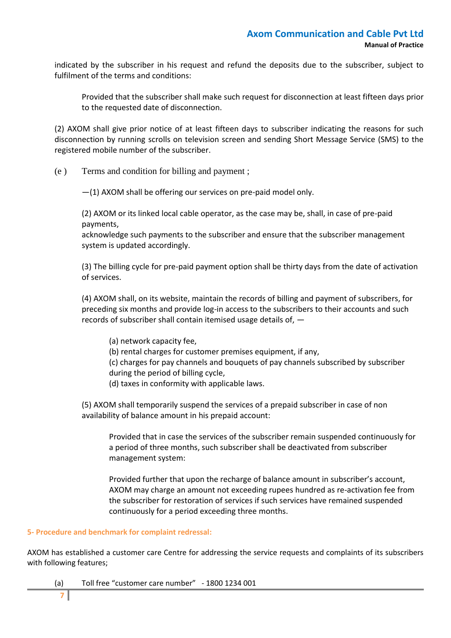indicated by the subscriber in his request and refund the deposits due to the subscriber, subject to fulfilment of the terms and conditions:

Provided that the subscriber shall make such request for disconnection at least fifteen days prior to the requested date of disconnection.

(2) AXOM shall give prior notice of at least fifteen days to subscriber indicating the reasons for such disconnection by running scrolls on television screen and sending Short Message Service (SMS) to the registered mobile number of the subscriber.

(e ) Terms and condition for billing and payment ;

—(1) AXOM shall be offering our services on pre-paid model only.

(2) AXOM or its linked local cable operator, as the case may be, shall, in case of pre-paid payments,

acknowledge such payments to the subscriber and ensure that the subscriber management system is updated accordingly.

(3) The billing cycle for pre-paid payment option shall be thirty days from the date of activation of services.

(4) AXOM shall, on its website, maintain the records of billing and payment of subscribers, for preceding six months and provide log-in access to the subscribers to their accounts and such records of subscriber shall contain itemised usage details of, —

(a) network capacity fee,

(b) rental charges for customer premises equipment, if any,

(c) charges for pay channels and bouquets of pay channels subscribed by subscriber during the period of billing cycle,

(d) taxes in conformity with applicable laws.

(5) AXOM shall temporarily suspend the services of a prepaid subscriber in case of non availability of balance amount in his prepaid account:

Provided that in case the services of the subscriber remain suspended continuously for a period of three months, such subscriber shall be deactivated from subscriber management system:

Provided further that upon the recharge of balance amount in subscriber's account, AXOM may charge an amount not exceeding rupees hundred as re-activation fee from the subscriber for restoration of services if such services have remained suspended continuously for a period exceeding three months.

## **5- Procedure and benchmark for complaint redressal:**

AXOM has established a customer care Centre for addressing the service requests and complaints of its subscribers with following features;

(a) Toll free "customer care number" - 1800 1234 001